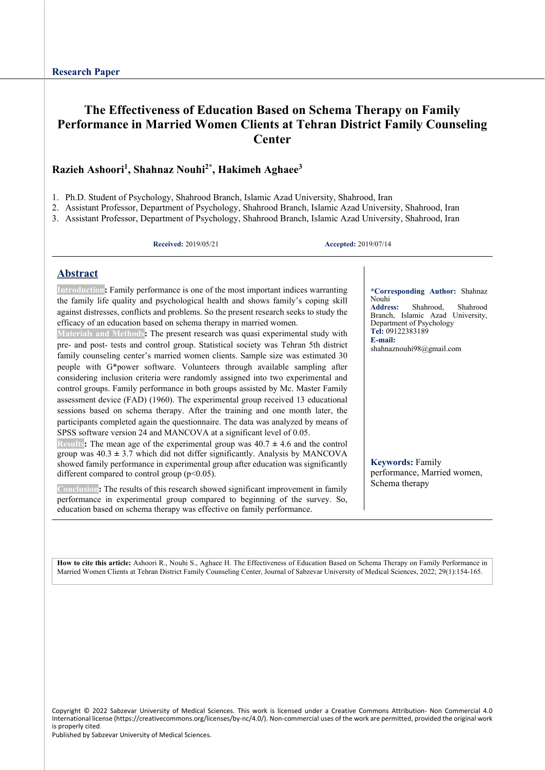# **The Effectiveness of Education Based on Schema Therapy on Family Performance in Married Women Clients at Tehran District Family Counseling Center**

### **Razieh Ashoori1, Shahnaz Nouhi2\*, Hakimeh Aghaee3**

1. Ph.D. Student of Psychology, Shahrood Branch, Islamic Azad University, Shahrood, Iran

2. Assistant Professor, Department of Psychology, Shahrood Branch, Islamic Azad University, Shahrood, Iran

3. Assistant Professor, Department of Psychology, Shahrood Branch, Islamic Azad University, Shahrood, Iran

**Received:** 2019/05/21 **Accepted:** 2019/07/14

### **Abstract**

**Introduction:** Family performance is one of the most important indices warranting the family life quality and psychological health and shows family's coping skill against distresses, conflicts and problems. So the present research seeks to study the efficacy of an education based on schema therapy in married women.

**Materials and Methods:** The present research was quasi experimental study with pre- and post- tests and control group. Statistical society was Tehran 5th district family counseling center's married women clients. Sample size was estimated 30 people with G\*power software. Volunteers through available sampling after considering inclusion criteria were randomly assigned into two experimental and control groups. Family performance in both groups assisted by Mc. Master Family assessment device (FAD) (1960). The experimental group received 13 educational sessions based on schema therapy. After the training and one month later, the participants completed again the questionnaire. The data was analyzed by means of SPSS software version 24 and MANCOVA at a significant level of 0.05.

**Results:** The mean age of the experimental group was 40.7 **±** 4.6 and the control group was  $40.3 \pm 3.7$  which did not differ significantly. Analysis by MANCOVA showed family performance in experimental group after education was significantly different compared to control group  $(p<0.05)$ .

**Conclusion:** The results of this research showed significant improvement in family performance in experimental group compared to beginning of the survey. So, education based on schema therapy was effective on family performance.

**\*Corresponding Author:** Shahnaz Nouhi<br>Address: **Address:** Shahrood, Shahrood Branch, Islamic Azad University, Department of Psychology **Tel:** 09122383189 **E-mail:**  shahnaznouhi98@gmail.com

**Keywords:** Family performance, Married women, Schema therapy

**How to cite this article:** Ashoori R., Nouhi S., Aghaee H. The Effectiveness of Education Based on Schema Therapy on Family Performance in Married Women Clients at Tehran District Family Counseling Center, Journal of Sabzevar University of Medical Sciences, 2022; 29(1):154-165.

Copyright © 2022 Sabzevar University of Medical Sciences. This work is licensed under a Creative Commons Attribution- Non Commercial 4.0 International license (https://creativecommons.org/licenses/by-nc/4.0/). Non-commercial uses of the work are permitted, provided the original work is properly cited.

Published by Sabzevar University of Medical Sciences.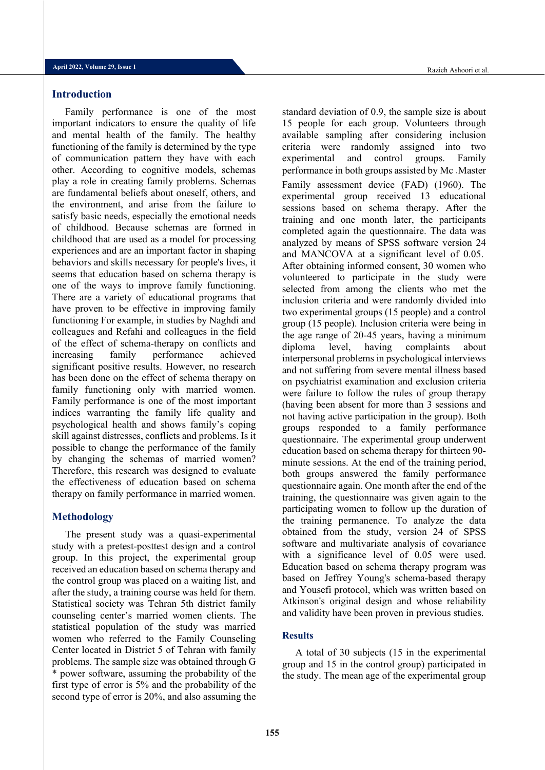#### **Introduction**

Family performance is one of the most important indicators to ensure the quality of life and mental health of the family. The healthy functioning of the family is determined by the type of communication pattern they have with each other. According to cognitive models, schemas play a role in creating family problems. Schemas are fundamental beliefs about oneself, others, and the environment, and arise from the failure to satisfy basic needs, especially the emotional needs of childhood. Because schemas are formed in childhood that are used as a model for processing experiences and are an important factor in shaping behaviors and skills necessary for people's lives, it seems that education based on schema therapy is one of the ways to improve family functioning. There are a variety of educational programs that have proven to be effective in improving family functioning For example, in studies by Naghdi and colleagues and Refahi and colleagues in the field of the effect of schema-therapy on conflicts and increasing family performance achieved significant positive results. However, no research has been done on the effect of schema therapy on family functioning only with married women. Family performance is one of the most important indices warranting the family life quality and psychological health and shows family's coping skill against distresses, conflicts and problems. Is it possible to change the performance of the family by changing the schemas of married women? Therefore, this research was designed to evaluate the effectiveness of education based on schema therapy on family performance in married women.

#### **Methodology**

The present study was a quasi-experimental study with a pretest-posttest design and a control group. In this project, the experimental group received an education based on schema therapy and the control group was placed on a waiting list, and after the study, a training course was held for them. Statistical society was Tehran 5th district family counseling center's married women clients. The statistical population of the study was married women who referred to the Family Counseling Center located in District 5 of Tehran with family problems. The sample size was obtained through G \* power software, assuming the probability of the first type of error is 5% and the probability of the second type of error is 20%, and also assuming the standard deviation of 0.9, the sample size is about 15 people for each group. Volunteers through available sampling after considering inclusion criteria were randomly assigned into two experimental and control groups. Family performance in both groups assisted by Mc .Master Family assessment device (FAD) (1960). The experimental group received 13 educational sessions based on schema therapy. After the training and one month later, the participants completed again the questionnaire. The data was analyzed by means of SPSS software version 24 and MANCOVA at a significant level of 0.05. After obtaining informed consent, 30 women who volunteered to participate in the study were selected from among the clients who met the inclusion criteria and were randomly divided into two experimental groups (15 people) and a control group (15 people). Inclusion criteria were being in the age range of 20-45 years, having a minimum diploma level, having complaints about interpersonal problems in psychological interviews and not suffering from severe mental illness based on psychiatrist examination and exclusion criteria were failure to follow the rules of group therapy (having been absent for more than 3 sessions and not having active participation in the group). Both groups responded to a family performance questionnaire. The experimental group underwent education based on schema therapy for thirteen 90 minute sessions. At the end of the training period, both groups answered the family performance questionnaire again. One month after the end of the training, the questionnaire was given again to the participating women to follow up the duration of the training permanence. To analyze the data obtained from the study, version 24 of SPSS software and multivariate analysis of covariance with a significance level of 0.05 were used. Education based on schema therapy program was based on Jeffrey Young's schema-based therapy and Yousefi protocol, which was written based on Atkinson's original design and whose reliability and validity have been proven in previous studies.

#### **Results**

A total of 30 subjects (15 in the experimental group and 15 in the control group) participated in the study. The mean age of the experimental group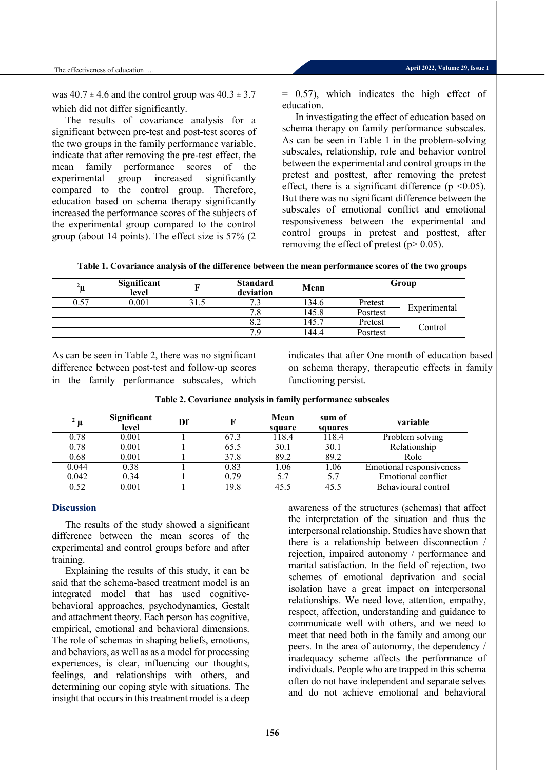was  $40.7 \pm 4.6$  and the control group was  $40.3 \pm 3.7$ which did not differ significantly.

The results of covariance analysis for a significant between pre-test and post-test scores of the two groups in the family performance variable, indicate that after removing the pre-test effect, the mean family performance scores of the experimental group increased significantly compared to the control group. Therefore, education based on schema therapy significantly increased the performance scores of the subjects of the experimental group compared to the control group (about 14 points). The effect size is 57% (2

= 0.57), which indicates the high effect of education.

In investigating the effect of education based on schema therapy on family performance subscales. As can be seen in Table 1 in the problem-solving subscales, relationship, role and behavior control between the experimental and control groups in the pretest and posttest, after removing the pretest effect, there is a significant difference ( $p \le 0.05$ ). But there was no significant difference between the subscales of emotional conflict and emotional responsiveness between the experimental and control groups in pretest and posttest, after removing the effect of pretest ( $p$  > 0.05).

**Table 1. Covariance analysis of the difference between the mean performance scores of the two groups**

| $^2$ u | Significant<br>level | <b>Standard</b><br>deviation | Mean  | Group    |              |  |
|--------|----------------------|------------------------------|-------|----------|--------------|--|
| 0.57   | 0.001                | 72<br>                       | 134.6 | Pretest  |              |  |
|        |                      | 7.8                          | 145.8 | Posttest | Experimental |  |
|        |                      | 8.2                          | 145.7 | Pretest  |              |  |
|        |                      | 7.9                          | 144.4 | Posttest | Control      |  |

As can be seen in Table 2, there was no significant difference between post-test and follow-up scores in the family performance subscales, which indicates that after One month of education based on schema therapy, therapeutic effects in family functioning persist.

| " µ   | Significant<br>level | Df |      | Mean<br>square | sum of<br>squares | variable                 |
|-------|----------------------|----|------|----------------|-------------------|--------------------------|
| 0.78  | $0.001\,$            |    | 67.3 | 118.4          | 118.4             | Problem solving          |
| 0.78  | $0.001\,$            |    | 65.5 | 30.1           | 30.1              | Relationship             |
| 0.68  | $0.001\,$            |    | 37.8 | 89.2           | 89.2              | Role                     |
| 0.044 | 0.38                 |    | 0.83 | 1.06           | 1.06              | Emotional responsiveness |
| 0.042 | 0.34                 |    | 0.79 | 5.7            | 5.7               | Emotional conflict       |
| 0.52  | 0.001                |    | 19.8 | 45.5           | 45.5              | Behavioural control      |

**Table 2. Covariance analysis in family performance subscales**

#### **Discussion**

The results of the study showed a significant difference between the mean scores of the experimental and control groups before and after training.

Explaining the results of this study, it can be said that the schema-based treatment model is an integrated model that has used cognitivebehavioral approaches, psychodynamics, Gestalt and attachment theory. Each person has cognitive, empirical, emotional and behavioral dimensions. The role of schemas in shaping beliefs, emotions, and behaviors, as well as as a model for processing experiences, is clear, influencing our thoughts, feelings, and relationships with others, and determining our coping style with situations. The insight that occurs in this treatment model is a deep

awareness of the structures (schemas) that affect the interpretation of the situation and thus the interpersonal relationship. Studies have shown that there is a relationship between disconnection / rejection, impaired autonomy / performance and marital satisfaction. In the field of rejection, two schemes of emotional deprivation and social isolation have a great impact on interpersonal relationships. We need love, attention, empathy, respect, affection, understanding and guidance to communicate well with others, and we need to meet that need both in the family and among our peers. In the area of autonomy, the dependency / inadequacy scheme affects the performance of individuals. People who are trapped in this schema often do not have independent and separate selves and do not achieve emotional and behavioral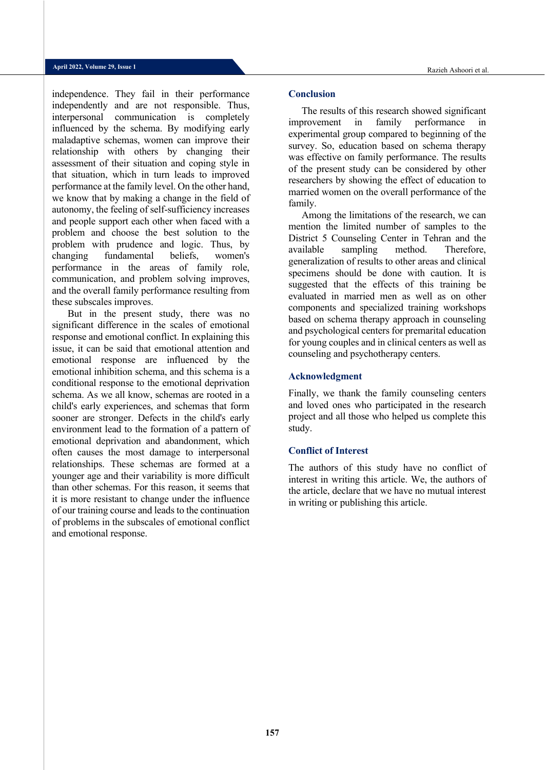independence. They fail in their performance independently and are not responsible. Thus, interpersonal communication is completely influenced by the schema. By modifying early maladaptive schemas, women can improve their relationship with others by changing their assessment of their situation and coping style in that situation, which in turn leads to improved performance at the family level. On the other hand, we know that by making a change in the field of autonomy, the feeling of self-sufficiency increases and people support each other when faced with a problem and choose the best solution to the problem with prudence and logic. Thus, by changing fundamental beliefs, women's performance in the areas of family role, communication, and problem solving improves, and the overall family performance resulting from these subscales improves.

But in the present study, there was no significant difference in the scales of emotional response and emotional conflict. In explaining this issue, it can be said that emotional attention and emotional response are influenced by the emotional inhibition schema, and this schema is a conditional response to the emotional deprivation schema. As we all know, schemas are rooted in a child's early experiences, and schemas that form sooner are stronger. Defects in the child's early environment lead to the formation of a pattern of emotional deprivation and abandonment, which often causes the most damage to interpersonal relationships. These schemas are formed at a younger age and their variability is more difficult than other schemas. For this reason, it seems that it is more resistant to change under the influence of our training course and leads to the continuation of problems in the subscales of emotional conflict and emotional response.

#### **Conclusion**

The results of this research showed significant improvement in family performance in experimental group compared to beginning of the survey. So, education based on schema therapy was effective on family performance. The results of the present study can be considered by other researchers by showing the effect of education to married women on the overall performance of the family.

Among the limitations of the research, we can mention the limited number of samples to the District 5 Counseling Center in Tehran and the available sampling method. Therefore, generalization of results to other areas and clinical specimens should be done with caution. It is suggested that the effects of this training be evaluated in married men as well as on other components and specialized training workshops based on schema therapy approach in counseling and psychological centers for premarital education for young couples and in clinical centers as well as counseling and psychotherapy centers.

#### **Acknowledgment**

Finally, we thank the family counseling centers and loved ones who participated in the research project and all those who helped us complete this study.

#### **Conflict of Interest**

The authors of this study have no conflict of interest in writing this article. We, the authors of the article, declare that we have no mutual interest in writing or publishing this article.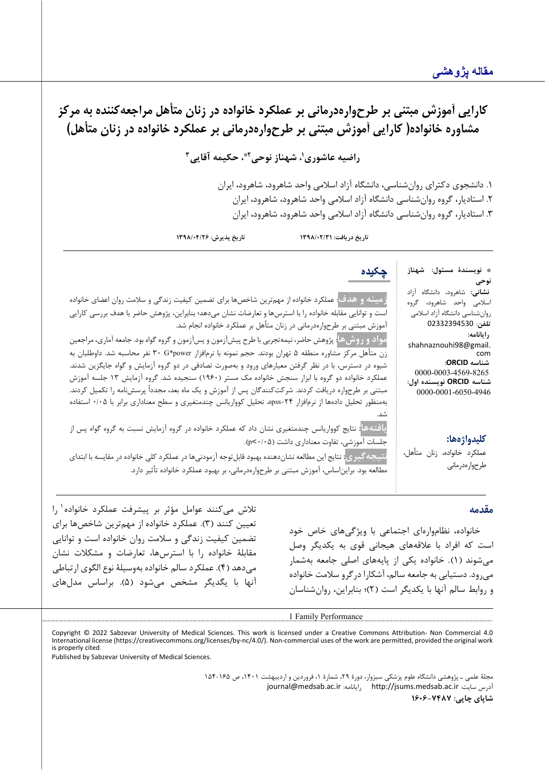\* **نویسندة مسئول: شهناز** 

**نشانی:** شاهرود، دانشگاه آزاد اسلامی واحد شاهرود، گروه روانشناسی دانشگاه آزاد اسلامی **تلفن**: 02332394530

shahnaznouhi98@gmail.

0000-0003-4569-8265 **شناسه ORCID نویسنده اول:** 0000-0001-6050-4946

عملکرد خانواده، زنان متأهل،

**کلیدواژهها:**

طرح واره درمانی

**نوحی**

**رایانامه:**

com **شناسه ORCID:**

**کارایی آموزش مبتنی بر طرحوارهدرمانی بر عملکرد خانواده در زنان متأهل مراجعهکننده به مرکز مشاوره خانواده( کارایی آموزش مبتنی بر طرح وارهدرمانی بر عملکرد خانواده در زنان متأهل)** 

**1 راضیه عاشوري 3 ، حکیمه آقایی 2\* ، شهناز نوحی** 

.1 دانشجوي دکتراي روانشناسی ، دانشگاه آزاد اسلامی واحد شاهرود، شاهرود، ایران .2 استادیار، گروه روانشناسی دانشگاه آزاد اسلامی واحد شاهرود، شاهرود، ایران .3 استادیار، گروه روانشناسی دانشگاه آزاد اسلامی واحد شاهرود، شاهرود، ایران

**تاریخ دریافت: /02/31 1398 تاریخ پذیرش: 1398/04/26**

**زمینه و هدف**: عملکرد خانواده از مهمترین شاخص ها براي تضمین کیفیت زندگی و سلامت روان اعضاي خانواده است و توانایی مقابل ه خانواده را با استرسها و تعارضات نشان میدهد؛ بنابراین، پژوهش حاضر با هدف بررسی کارایی آموزش مبتنی بر طرح واره درمانی در زنان متأهل بر عملکرد خانواده انجام شد. **مواد وروشها**: پژوهش حاضر، نیمه تجربی با طرح پیش آزمون و پس آزمون و گروه گواه بود. جامعه آماري، مراجعین

زن متأهل مرکز مشاوره منطقه 5 تهران بودند. حجم نمونه با نرم افزار power\*G 30 نفر محاسبه شد. داوطلبان به شیوه در دسترس، با در نظر گرفتن معیارهاي ورود و بهصورت تصادفی در دو گروه آزمایش و گواه جایگزین شدند. عملکرد خانواده دو گروه با ابزار سنجش خانواده مک مستر (1960) سنجیده شد. گروه آزمایش 13 جلسه آموزش مبتنی بر طرح واره دریافت کردند. شرکتکنندگان پس از آموزش و یک ماه بعد، مجدداً پرسش نامه را تکمیل کردند. بهمنظور تحلیل دادهها از نرم افزار ٢۴-spss، تحلیل کوواریانس چندمتغیری و سطح معناداری برابر با ۰/۰۵ استفاده شد.

**یافتهها:** نتایج کوواریانس چندمتغیري نشان داد که عملکرد خانواده در گروه آزمایش نسبت به گروه گواه پس از جلسات آموزشی، تفاوت معناداری داشت ((p<٠/٠۵).

**نتیجه گیري:** نتایج این مطالعه نشان دهنده بهبود قابلتوجه آزمودنی ها در عملکرد کلی خانواده در مقایسه با ابتداي مطالعه بود. برایناساس، آموزش مبتنی بر طرح واره درمانی، بر بهبود عملکرد خانواده تأثیر دارد.

#### **مقدمه**

خانواده، نظام واره اي اجت ماعی با ویژگی هاي خاص خود است که افراد با علاقه هاي هیجانی قوي به یکدیگر وصل می شوند (١). خانواده یکی از پایههای اصلی جامعه بهشمار می رود. دستیابی به جامعه سالم، آشکارا در گرو سلامت خانواده و روابط سالم آنها با یکدیگر است ( 2)؛ بنابراین ، روان شناسان

تلاش می کنند عوامل مؤثر بر پیشرفت عملکرد خانواده <sup>۱</sup> را تعیین کنند ( 3). عملکرد خانواده از مهم ترین شاخص ها براي تضمین کیفیت زن دگی و سلامت روان خانواده است و توانایی مقابلهٔ خانواده را با استرس ها، تعارضات و مشکلات نشان می دهد ( 4) . عملکرد سالم خانواده به وسیلۀ نوع الگوي ارتباطی آنها با یگدیگر مشخص می شود ( 5). بر اساس مدل هاي

1 Family Performance

<span id="page-4-0"></span>Copyright © 2022 Sabzevar University of Medical Sciences. This work is licensed under a Creative Commons Attribution- Non Commercial 4.0 International license (https://creativecommons.org/licenses/by-nc/4.0/). Non-commercial uses of the work are permitted, provided the original work is properly cited.

Published by Sabzevar University of Medical Sciences.

مجلۀ علمی ـ پژوهشی دانشگاه علوم پزشکی سبزوار، دورة ،29 شمارة ،1 فروردین و اردیبهشت ،1401 ص 154-165 [journal@medsab.ac.ir](mailto:journal@medsab.ac.ir) :رایانامه [http://jsums.medsab.ac.ir](http://jsums.medsab.ac.ir/) :سایت آدرس **شاپاي چاپی: 1606-7487**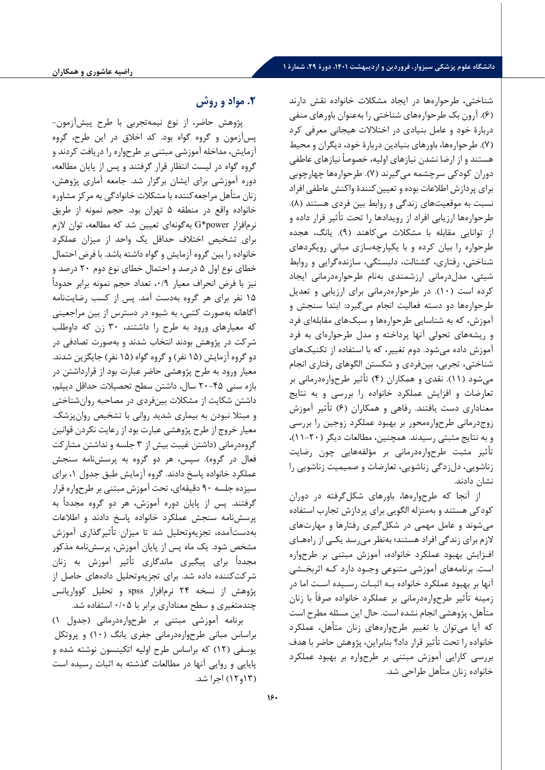شناختی، طرحواره ها در ایجاد مشکلات خ انواده نقش دارند ( 6). آرون بک طرح واره هاي شناختی را به عنوان باورهاي منفی دربارة خود و عامل بنیادي در اختلالات هیجانی معرفی کرد ( 7). طرح واره ها، باورهاي بنیادین دربارة خود، دیگران و محیط هستند و از ارضا نشدن نیازهاي اولیه، خصوصاً نیازهاي عاطفی دوران کودکی سرچشمه می گیرند ( 7). طرحواره ها چهارچوبی برای پردازش اطلاعات بوده و تعیین کنندهٔ واکنش عاطفی افراد نسبت به موقعیتهای زندگی و روابط بین فردی هستند (۸). طرحوارهها ارزیابی افراد از رویدادها را تحت تأثیر قرار داده و از توانایی مقابله با مشکلات می کاهند (٩). یانگ، هجده طرح واره را بیان کرده و با یکپارچه سازي مبانی رویکردهاي شناختی، رفتاري، گشتالت ، دلبستگی، سازنده گرایی و روابط ش یئی ، مدل درمانی ارزشمندي ب ه نام طرحواره درمانی ایجاد کرده است ( 10). در طرحواره درمانی براي ارزیابی و تعدیل طرحواره ها دو دسته فعالیت انجام می گیرد : ابتدا سنجش و آموزش ، که به شناسایی طرح واره ها و سبک هاي مقابله اي فرد و ریشههای تحولی آنها پرداخته و مدل طرحوارهای به فرد آموزش داده می شود . دوم تغی یر، که با استفاده از تکنیک هاي شناختی ، تجربی ، بین فردي و شکستن الگوهاي رفتار ي انجام می شود ( 11) . نقدي و همکاران ( 4) تأثیر طرح واره درمانی بر تعارضات و افزایش عملکرد خانواده را بررسی و به نتایج معناداري دست یافتند. رفاهی و همکاران ( 6) ت أ ثیر آموزش زوج درمانی طرح واره محور بر بهبود عملکرد زوجین را بررسی و به نتایج مثبتی رسیدند . همچنین ، مطالعات دیگر ( -20 11)، تأ ثیر مثبت طرح واره درمانی بر مؤلفه هایی چون رضایت زناشویی، دل زدگی زناشویی، تعارضات و صمیمیت زناشویی را نشان دادند.

از آنجا که طرحوارهها، باورهای شکل گرفته در دوران کودکی هستند و به منزله الگوی ی براي پردازش تجارب استفاده می شوند و عامل مهم ی در شکل گیري رفتارها و م هارت هاي لازم برای زندگی افراد هستند؛ به نظر می رسد یکـی از راههـای افـزايش بهبود عملكرد خانواده، آموزش مبتنى بر طرحواره است. برنامههای آموزشی متنوعی وجـود دارد کـه اثربخـشی آنها بر بهبود عملکرد خانواده بـه اثبــات رســيده اســت اما در زمینه تأثیر طرح واره درمانی بر عملکرد خانواده صرفاً با زنان متأهل، پژوهشی انجام نشده است. حال این مسئله مطرح است که آیا می توان با تغییر طرحوارههای زنان متأهل، عملکرد خانواده را تحت تأ ثیر قرار داد؟ بنابراین ، پژ و هش حاضر با هدف بررسی کارایی آموزش مبتنی بر طرحواره بر بهبود عملکرد خانواده زنان متأهل طراحی شد.

## **.2 مواد و روش**

پژوهش حاضر، از نوع نیمهتجربی با طرح پیشآزمون- پس آزمون و گروه گواه بود. کد اخلاق در این طرح، گروه آزمایش، مداخله آموزشی مبتنی بر طرح واره را دریافت کردند و گروه گواه در لیست انتظار قرار گرفتند و پس از پایان مط العه، دوره آموزشی براي ایشان برگزار شد. جامعه آماري پژوهش، زنان متأهل مراجعهکننده با مشکلات خانوادگی به مرکز مشاوره خانواده واقع در منطقه 5 تهران بود. حجم نمونه از طریق نرمافزار power\*G به گونهاي تعیین شد که مطالعه، توان لازم براي تشخیص اختلاف حداقل یک واحد از میزان عملکرد خانواده را بین گروه آزمایش و گواه داشته باشد. با فرض احتمال خطاي نوع اول 5 درصد و احتمال خطاي نوع دوم 20 درصد و نیز با فرض انحراف معیار ۰/۹، تعداد حجم نمونه برابر حدوداً 15 نفر براي هر گروه به دست آمد. پس از کسب رضایت نامه آگاهانه به صورت کتبی، به شیوه در دسترس از بین مراجعینی که معیارهاي ورود به طرح را داشتند، 30 زن که داوطلب شرکت در پژوهش بودند ان تخاب شدند و به صورت تصادفی در دو گروه آزمایش (15 نفر) و گروه گواه (15 نفر) جایگزین شدند. معیار ورود به طرح پژوهشی حاضر عبارت بود از قرارداشتن در بازه سنی 20-45 سال، داشتن سطح تحصیلات حداقل دیپلم، داشتن شکایت از مشکلات بینفردي در مصاحبه روانشناختی و مبتلا نبودن به بیماري شدید روانی با تشخیص روانپزشک. معیار خروج از طرح پژوهشی عبارت بود از رعایت نکردن قوانین گروهدرمانی (داشتن غیبت بیش از 3 جلسه و نداشتن مشارکت فعال در گروه). سپس، هر دو گروه به پرسشنامه سنجش عملکرد خانواده پاسخ دادند. گروه آزمایش طبق جدول ،1 براي سیزده جلسه 90 دقیقهاي، تحت آموزش مبتنی بر طرحواره قرار گرفتند. پس از پایان دوره آموزش، هر دو گروه مجدداً به پرسش نامه سنجش عملکرد خانواده پاسخ دادند و اطلاعات بهدست آمده، تجزیهوتحلیل شد تا میزان تأثیرگذاري آموزش مشخص شود. یک ماه پس از پایان آموزش، پرسشنامه مذکور مجدداً براي پیگیري ماندگاري تأثیر آموزش به زنان شرکت کننده داده شد. براي تجزیهوتحلیل دادههاي حاصل از پژوهش از نسخه 24 نرم افزار spss و تحلیل کوواریانس چندمتغیري و سطح معناداري برابر با 0/05 استفاده شد.

برنامه آموزشی مبتنی بر طرحوارهدرمانی (جدول 1) براساس مبانی طرحوارهدرمانی جفري یانگ (10) و پروتکل یوسفی (12) که براساس طرح اولیه اتکینسون نوشته شده و پایایی و روایی آنها در مطالعات گذشته به اثبات رسیده است (13و12) اجرا شد.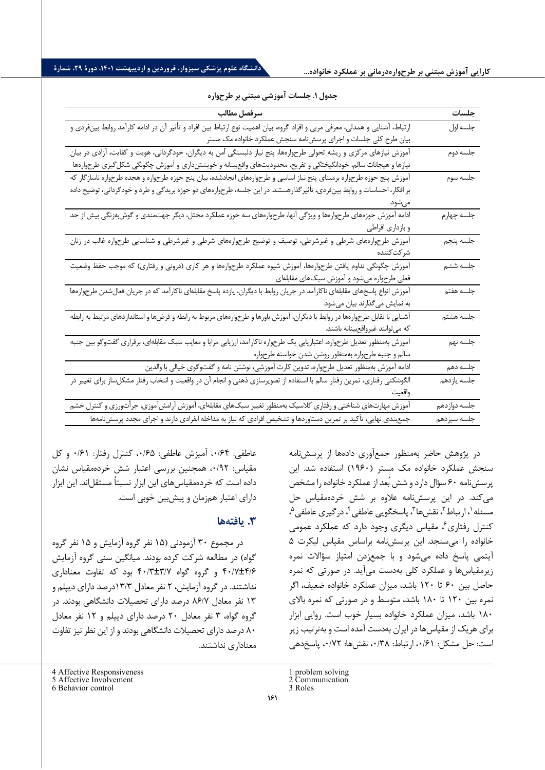| سرفصل مطالب                                                                                                                  | جلسات                          |
|------------------------------------------------------------------------------------------------------------------------------|--------------------------------|
| ارتباط، آشنایی و همدلی، معرفی مربی و افراد گروه، بیان اهمیت نوع ارتباط بین افراد و تأثیر آن در ادامه کارآمد روابط بینفردی و  | جلسه اول                       |
| بیان طرح کلی جلسات و اجرای پرسشنامه سنجش عملکرد خانواده مک مستر                                                              |                                |
| آموزش نیازهای مرکزی و ریشه تحولی طرحوارهها، پنج نیاز دلبستگی آمن به دیگران، خودگردانی، هویت و کفایت، آزادی در بیان           | ۔<br>جلسه دوم                  |
| نیازها و هیجانات سالم، خودانگیختگی و تفریح، محدودیتهای واقع بینانه و خویشتنداری و آموزش چگونگی شکل گیری طرحوارهها            |                                |
| آموزش پنج حوزه طرحواره برمبنای پنج نیاز اساسی و طرحوارههای ایجادشده، بیان پنج حوزه طرحواره و هجده طرحواره ناسازگار که        | جلسه سوم                       |
| بر افکار، احساسات و روابط بینفردی، تأثیر گذارهستند. در این جلسه، طرحوارههای دو حوزه بریدگی و طرد و خودگردانی، توضیح داده     |                                |
| مىشود.                                                                                                                       |                                |
| ادامه آموزش حوزههای طرحوارهها و ویژگی آنها، طرحوارههای سه حوزه عملکرد مختل، دیگر جهتمندی و گوش بهزنگی بیش از حد              |                                |
| و بازداری افراطی                                                                                                             |                                |
| آموزش طرحوارههای شرطی و غیرشرطی، توصیف و توضیح طرحوارههای شرطی و غیرشرطی و شناسایی طرحواره غالب در زنان                      | _________________<br>جلسه پنجم |
| شركتكننده                                                                                                                    |                                |
| آموزش چگونگی تداوم یافتن طرحوارهها، آموزش شیوه عملکرد طرحوارهها و هر کاری (درونی و رفتاری) که موجب حفظ وضعیت                 | ۔<br>جلسه ششم                  |
| فعلی طرحواره میشود و آموزش سبکهای مقابلهای                                                                                   |                                |
| آموزش انواع پاسخهای مقابلهای ناکارآمد در جریان روابط با دیگران، یازده پاسخ مقابلهای ناکارآمد که در جریان فعالشدن طرحوارهها   | جلسه هفتم                      |
| به نمایش میگذارند بیان میشود.                                                                                                |                                |
| آشنایی با تقابل طرحوارهها در روابط با دیگران، آموزش باورها و طرحوارههای مربوط به رابطه و فرضها و استانداردهای مرتبط به رابطه | ۔<br>جلسه هشتم                 |
| كه مىتوانند غيرواقعبينانه باشند.                                                                                             |                                |
| آموزش بهمنظور تعدیل طرحواره، اعتباریابی یک طرحواره ناکارآمد، ارزیابی مزایا و معایب سبک مقابلهای، برقراری گفتوگو بین جنبه     | ۔<br>جلسه نهم                  |
| سالم و جنبه طرحواره بهمنظور روشن شدن خواسته طرحواره                                                                          |                                |
| ادامه آموزش بهمنظور تعدیل طرحواره، تدوین کارت آموزشی، نوشتن نامه و گفتوگوی خیالی با والدین                                   | جلسه دهم                       |
| الگوشکنی رفتاری، تمرین رفتار سالم با استفاده از تصویرسازی ذهنی و انجام آن در واقعیت و انتخاب رفتار مشکلساز برای تغییر در     | جلسه يازدهم                    |
| واقعيت                                                                                                                       |                                |
| آموزش مهارتهای شناختی و رفتاری کلاسیک بهمنظور تغییر سبکهای مقابلهای، آموزش آرامشآموزی، جرأتورزی و کنترل خشم                  | جلسه دوازدهم                   |
| جمع ندی نهایی، تأکید بر تمرین دستاوردها و تشخیص افرادی که نیاز به مداخله انفرادی دارند و اجرای مجدد پرسشنامهها               | جلسه سيزدهم                    |

#### **جدول .1 جلسات آموزشی مبتنی بر طرح واره**

عاطفی: ۰/۶۴، آمیزش عاطفی: ۰/۶۵، کنترل رفتار: ۰/۶۱ و کل مقیاس : /92 ،0 همچنین بررسی اعتبار شش خرده مقیاس نشان داده است که خردهمقیاس های این ابزار نسبتاً مستقل|ند. این ابزار داراي اعتبار هم زمان و پیش بین خوبی است .

#### **.3 یافتهها**

در مجموع 30 آزمودنی ( 15 نفر گروه آزمایش و 15 نفر گروه گواه) در مطالعه شرکت کرده بودند. میانگین سنی گروه آزمایش /6 ±4 /7 40 و گروه گواه /7 ±3 /3 40 بود که تفاوت معنا داري نداشتند. در گروه آزمایش ، 2 نفر معادل /3 13درصد داراي دیپلم و 13 نفر معادل /7 86 درصد داراي تحصیلات دانشگاهی بودند. در گروه گواه، ۳ نفر معادل ۲۰ درصد داراي ديپلم و ۱۲ نفر معادل 80 درصد داراي تحصیلات دانشگاهی بودند و از این نظر نیز تفاوت معناداري نداشتند .

در پژوهش حاضر به منظور جمع آوري داده ها از پرسش نامه سنجش عملکرد خانواده مک مستر ( 1960) استفاده شد. این پرسش نامه 60 سؤ ال دارد و شش بُعد از عملکرد خانواده را مشخص می کند. در این پرسش نامه علاوه بر شش خرده مقیاس حل مسئله '[،](#page-6-2) ارتباط '، نقش ها "، پاسخگویی عاطفی "، درگیری عاطفی "، کنترل رفتاري ً[،](#page-6-2) مقياس ديگري وجود دارد که عملکرد عمومي خانواده را می سنجد.این پرس ش نامه بر اساس مقیاس لیکرت 5 آیتمی پاسخ داده می شود و با جمع زدن امتیاز سؤالات نمره زیر مقیاس ها و عملکرد کلی به دست می آید . در صورتی که نمره حاصل بین 60 تا 120 باشد، م یزان عملکرد خانواده ضعیف ، اگر نمره بین 120 تا 180 باشد، متوسط و در صورتی که نمر ه بالاي 180 باشد، میزان عملکرد خانواده بسیار خوب است . روایی ابزار براي هر یک از مقیاس ها در ایران به دست آمده است و به ترتیب زیر است: حل مشکل: ۰/۶۱، ارتباط: ۰/۳۸، نقش ها: ۰/۷۲، پاسخ دهی

<span id="page-6-0"></span>4 Affective Responsiveness 5 Affective Involvement

<sup>1</sup> problem solving

<sup>2</sup> Communication

<sup>3</sup> Roles

<span id="page-6-2"></span><span id="page-6-1"></span><sup>6</sup> Behavior control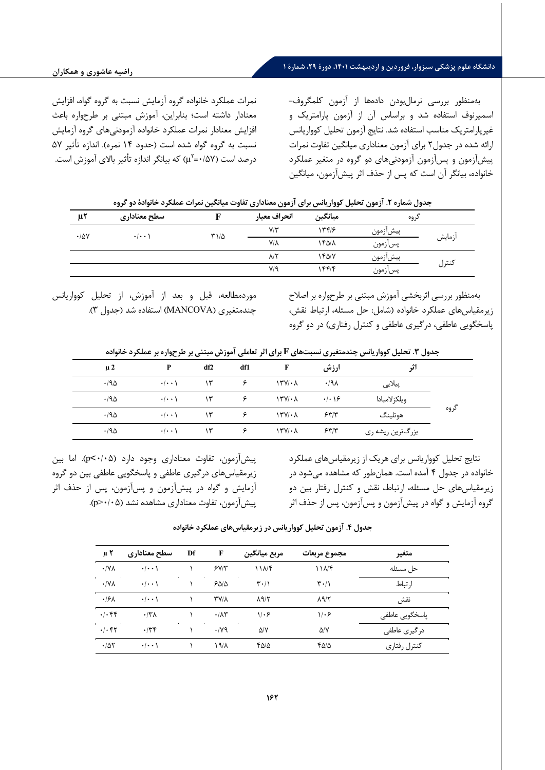### **دانشگاه علوم پزشکی سبزوار، فروردین و اردیبهشت ،1401 دورة ،29 شمارة 1**

به منظور بررسی نرمال بودن دا ده ها از آزمون کلمگروف - اسمیرنوف استفاده شد و بر اساس آن از آزمون پارامتریک و غیر پارامتریک مناسب استفاده شد. نتایج آزمون تحلیل کوواریانس ارائه شده در جدول 2 برا ي آزمون معنادار ي م یانگین تفاوت نمرات پ یش آزمون و پس آزمون آزمودنی هاي دو گروه در متغیر عملکرد خانواده، بیانگر آن است که پس از حذف اثر پیشآزمون، میانگین

نمرات عملکرد خانواده گروه آزمایش نسبت به گروه گواه، افزایش معنادار داشته است ؛ بنابرا ین ، آموزش مبتنی بر طرح واره باعث افزایش معنادار نمرات عملکرد خانواده آزمودنیهای گروه آزمایش نسبت به گروه گواه شده است (حدود ۱۴ نمره). اندازه تأثیر ۵۷ در صد است (۱٬۵۷ - $\mu^{\gamma}$ ) که بیانگر اندازه تأثیر بالای آموزش است.

| جدول شماره ۲. آزمون تحلیل کوواریانس برای آزمون معناداری تفاوت میانگین نمرات عملکرد خانوادهٔ دو گروه |  |  |
|-----------------------------------------------------------------------------------------------------|--|--|
|-----------------------------------------------------------------------------------------------------|--|--|

| $\mu$ ٢              | سطح معناداري                    |             | انحراف معيار    | ميانگين | كروه     |        |
|----------------------|---------------------------------|-------------|-----------------|---------|----------|--------|
| $\cdot$ / $\Delta V$ | $\cdot$ $\cdot$ $\cdot$ $\cdot$ | $T1/\Delta$ | $Y/\tau$        | ۱۳۴۱۶   | پيش زمون |        |
|                      |                                 |             | $Y/\lambda$     | ۱۴۵/۸   | پسازمون  | أزمايش |
|                      |                                 |             | $\lambda/\zeta$ | ۱۴۵/۷   | پيشازمون |        |
|                      |                                 |             | $V/\mathcal{A}$ | ۱۴۴۱۴   | پسازمون  | كنترل  |

به منظور بررسی اثربخشی آموزش مبتنی بر طرح واره بر اصلاح ز یر مق یاس هاي عملکرد خانواده (شامل: حل مسئله، ارتباط نقش، پاسخگویی عاطفی، درگیري عاطفی و کنترل رفتاري) در دو گروه

موردمطالعه ، قبل و بعد از آموزش ، از تحل یل کووار یانس چند متغیري ( MANCOVA (استفاده شد ( جدول 3).

**جدول .3 تحلیل کوواریانس چندمتغیري نسبت هاي F براي اثر تعاملی آموزش مبتنی بر طرح واره بر عملکرد خانواده** 

| $\mu$ 2 | P                               | df2 | df1 |                      | ارزش                       | اثہ              |      |
|---------|---------------------------------|-----|-----|----------------------|----------------------------|------------------|------|
| .190    | $\cdot$   $\cdot$ \             | ۱۳  |     | $\frac{1}{\gamma}$   | .191                       | پيلايى           |      |
| .190    | $\cdot/\cdot\cdot$              | ۱۳  |     | $\Upsilon$           | $\cdot/\cdot$ \ $\epsilon$ | ويلكز لامبادا    |      |
| .190    | $\cdot$   $\cdot$ \             | ۱۳  |     | $\frac{1}{\gamma}$   | 55/7                       | هوتلينگ          | گروه |
| .190    | $\cdot$ $\cdot$ $\cdot$ $\cdot$ | ۱۳  |     | $\frac{1}{\sqrt{2}}$ | 557                        | بزرگترین ریشه ری |      |

نتایج تحلیل کوواریانس براي هریک از زیرمقیاس هاي عملکرد خانواده در جدول 4 آمده است . همان طور که مشاهده می شود در زیرمقیاس هاي حل مسئله، ارتباط، نقش و کنترل رفتار بین دو گروه آزمایش و گواه در پیش آزمون و پس آزمون، پس از حذف اثر

پیش آزمون، تفاوت معناداري وجود دارد ( /05 0>p (. اما بین زیرمقیاس هاي درگیري عاطفی و پاسخگویی عاطفی بین دو گروه آزما یش و گواه در پیش آزمون و پس آزمون، پس از حذف اثر پیش آزمون، تفاوت معناداري مشاهده نشد ( /05 0<p (.

| $\mu$ Y          | سطح معناداري                    | Df | F                   | مربع ميانگين                    | مجموع مربعات                    | متغير          |
|------------------|---------------------------------|----|---------------------|---------------------------------|---------------------------------|----------------|
| $\cdot$ /YA      | $\cdot/\cdot\cdot$              |    | 5Y/Y                | ۱۱۸۴                            | 11Nf                            | حل مسئله       |
| $\cdot$ /YA      | $\cdot$ $\cdot$ $\cdot$ $\cdot$ |    | ۶۵۱۵                | $\mathbf{r} \cdot / \mathbf{v}$ | $\mathbf{r} \cdot / \mathbf{v}$ | ا, تباط        |
| .19 <sub>A</sub> | $\cdot$ $\cdot$ $\cdot$ $\cdot$ |    | <b>TY/A</b>         | $\lambda$ 9/٢                   | $\lambda$ 9/٢                   | نقش            |
| $\cdot/\cdot$ ۴۴ | $\cdot$ /۳ $\Lambda$            |    | $\cdot/\lambda\tau$ | 1.9                             | 1.9                             | پاسخگویی عاطفی |
| .1.57            | .779                            |    | $\cdot$ /yq         | $\Delta$ /Y                     | $\Delta$ /Y                     | در گیری عاطفی  |
| .705             | $\cdot$ $\cdot$ \               |    | ۱۹/۸                | ۴۵/۵                            | ۴۵/۵                            | كنترل رفتاري   |

**جدول .4 آزمون تحلیل کوواریانس در زیرمقیاس هاي عملکرد خانواده**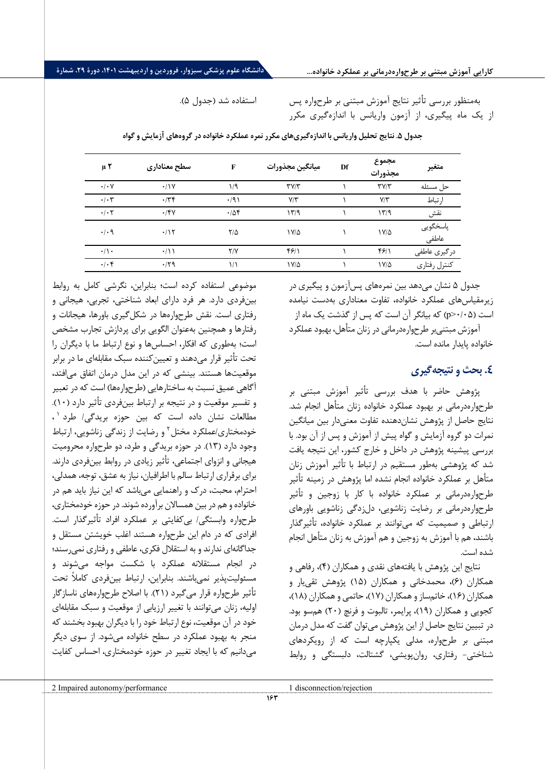بهمنظور بررسی تأثیر نتایج آموزش مبتنی بر طرحواره پس از یک ماه پیگیري، از آزمون واریانس با اندازهگیري مکرر

استفاده شد (جدول 5).

| μ٢                         | سطح معناداري       | F             | ميانگين مجذورات | Df | مجموع<br>مجذورات          | متغير             |
|----------------------------|--------------------|---------------|-----------------|----|---------------------------|-------------------|
| $\cdot/\cdot$ Y            | $\cdot$ / $\gamma$ | 1/9           | TVT             |    | $\mathbf{y} = \mathbf{y}$ | حل مسئله          |
| $\cdot/\cdot7$             | .779               | $\cdot$ /9)   | $Y/\tau$        |    | $V/\Upsilon$              | ارتباط            |
| $\cdot/\cdot$ $\mathsf{Y}$ | .15V               | .78           | ۱۳/۹            |    | 1779                      | نقش               |
| $\cdot$ / $\cdot$ 9        | .117               | $7/\Delta$    | $1 V/\Delta$    |    | $1 V/\Delta$              | پاسخگويي<br>عاطفى |
| $\cdot/\rangle$ .          | $\cdot/11$         | Y/Y           | 591             |    | 481                       | درگیری عاطفی      |
| $\cdot/\cdot$ ۴            | .179               | $\frac{1}{2}$ | ۱۷/۵            |    | $1 V/\Delta$              | كنترل رفتاري      |

جدول **۵. نتایج تحلیل واریانس با اندازهگیری های مکرر نمره عملکرد خانواده در گروههای آزمایش و گواه** 

جدول ۵ نشان می دهد بین نمر مهاي پس آزمون و پیگیري در زیرمقیاس هاي عملکرد خانواده، تفاوت معناداري به دست نیامده است ( /05 0<p (که بیانگر آن است که پس از گذشت یک ماه از

آموزش مبتنی بر طرح واره درمانی در زنان متأهل، بهبود عملکرد خانواده پایدار مانده است.

### **.4 بحث و نتیجه گیري**

پژوهش حاضر با هدف بررسی تأ ثیر آموزش مبتنی بر طرحوارهدرمانی بر بهبود عملکرد خانواده زنان متأهل انجام شد. نتایج حاصل از پژوهش نشان دهنده تفاوت معنی دار بین میانگین نمرات دو گروه آزمایش و گواه پیش از آموزش و پس از آن بود. با بررسی پیشینه پژوهش در داخل و خارج کشور، این نتیجه یافت شد که پژوهشی به طور مستقیم در ارتباط با تأثیر آموزش زنان متأهل بر عملکرد خانواده انجام نشده اما پژوهش در زمینه تأثیر طرحوارهدرمانی بر عملکرد خانواده با کار با زوجین و تأثیر طرح واره درمانی بر رضایت زناشویی، دل زدگی زناشویی باورهاي ارتباطی و صمیمیت که می توانند بر عملکرد خانواده، تأثیرگذار باشند، هم با آموزش به زوجین و هم آموزش به زنان متأهل انجام شده است.

نتایج این پژوهش با یافته هاي نقدي و همکاران ( 4)، رفاهی و همکاران ( 6)، محمدخانی و همکاران ( 15) پژوهش تقی یار و همکاران ( 16)، خاتم ساز و همکاران ( 17)، حاتمی و همکاران ( 18)، کجویی و همکاران ( 19)، پرایمر، تالبوت و فرنچ ( 20) هم سو بود. در تبیین نتایج حاصل از این پژوهش می توان گفت که مدل درمان مبتنی بر طرح واره، مدلی یکپارچه است که از رویکردهاي شناختی - رفتاري، روان پویشی، گشتالت، دلبستگی و روابط

موضوعی استفاده کرده است ؛ بنابراین ، نگرشی کامل به روابط بینفردی دارد. هر فرد دارای ابعاد شناختی، تجربی، هیجانی و رفتاري است. نقش طرح واره ها در شکل گیري باورها ، هیجانات و رفتارها و همچنین به عنوان الگویی براي پردازش تجارب مشخص است؛ به طوری که افکار، احساس ها و نوع ارتباط ما با دیگران را تحت تأثیر قرار می دهند و تعیین کننده سبک مقابله اي ما در برابر موقعیتها هستند. بینشی که در این مدل درمان اتفاق می افتد، آگاهی عمیق نسبت به ساختارهایی (طرحوارهها) است که در تعبیر و تفسیر موقعیت و در نتیجه بر ارتباط بین فردي تأ ثیر دارد ( 10). ، [1](#page-8-0) م طالعات نشان داده است که بین حوزه بریدگی/ طرد خودمختاری/عملکرد مختل<sup>۲</sup> و رضایت از زندگی زناشویی، ارتباط وجود دارد ( 13). در حوزه بریدگی و طرد ، دو طرح واره مح رومیت هیجانی و انزواي اجتماعی ، تأثیر زیادي در روابط بین فردي دارند. براي برقراري ارتباط سالم با اطرافیان، نیاز به عشق، توجه، همدلی، احترام، محبت، درك و راهنمایی می باشد که این نیاز باید هم در خانواده و هم در بین همسالان برآورده شوند . در حوزه خودمختاري، طرح واره وابستگی/ بی کفایتی بر عملکرد افراد تأثیر گذار است. افرادي که در دام این طرحواره هستند اغلب خویشتن مستقل و جداگانهاي ندارند و به استقلال فکري، عاطفی و رفتاري نمی رسند؛ در انجام مستقلانه عملکرد با شکست مواجه میشوند و مسئولیت پذیر نمی باشند. بنابراین ، ارتباط بین فردي کاملاً تحت تأثیر طرحواره قرار میگیرد (۲۱). با اصلاح طرحوارههای ناسازگار اولیه ، زنان می توانند با تغییر ارزیابی از موقعیت و سبک مقابله اي خود در آن موقعیت ، نوع ار تباط خود را با دیگران بهبود بخشند که منجر به بهبود عملکرد در سطح خانواده می شود. از سوي دیگر می دانیمکه ب ا ایجاد تغییر در حوزه خودمختاري، احساس کفایت

<span id="page-8-0"></span>1 disconnection/rejection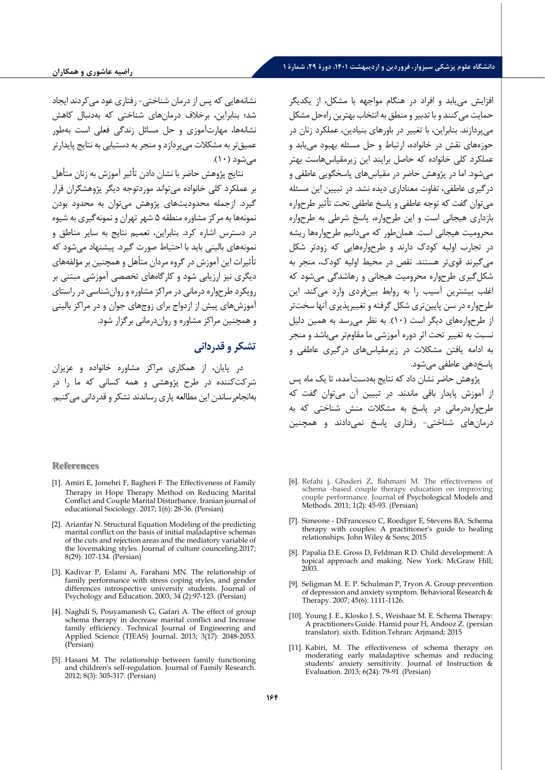نشانه هایی که پس از درمان شناختی - رفتاري عود می کردند ایجاد شد؛ بنابراین، برخلاف درمانهای شناختی که بهدنبال کاهش نشانه ها، مهارت آمو زي و حل مسائل زندگی فعلی است به طور عمیق تر به مشکلات می پردازد و منجر به دستیابی به نتایج پایدارتر مے شود (۱۰).

نتایج پژوهش حاضر با نشان دادن تأ ثیر آموزش به زنان متأ هل بر عملکرد کلی خانواده می تواند مورد توجه دیگر پژوهشگران قرار گیرد . از جمله محدود یت هاي پژوهش می توان به محدود بودن نمونه ها به مرکز مشاوره منطقه 5 شهر تهران و نمونه گیري به شیوه در دسترس اشاره کرد . بنابراین ، تعمیم نتایج به سایر مناطق و نمونه هاي بالینی باید با احتیاط صورت گیرد. پیشنهاد می شود که تأثيرات این آموزش در گروه مردان متأهل و همچنین بر مؤلفههای دیگری نیز ارزیابی شود و کارگاههای تخصصی آموزشی مبتنی بر رویکرد طرح واره درمانی در مراکز مشاوره و روان شناسی در راستاي آموزش هاي پیش از ازدواج براي زوج هاي جوان و در مراکز بالینی و همچنین مراکز مشاوره و روان درمانی برگزار شو د .

# **تشکر و قدردانی**

در پایان، از همکاری مراکز مشاوره خانواده و عزیزان شرکت کننده در طرح پژوهشی و همه کسانی که ما را در بهانجام ساندن این مطالعه یاری رساندند تشکر و قدردانی می کنیم.

#### **References**

- [1]. Amiri E, Jomehri F, Bagheri F. The Effectiveness of Family Therapy in Hope Therapy Method on Reducing Marital Conflict and Couple Marital Disturbance. Iranian journal of educational Sociology. 2017; 1(6): 28-36. (Persian)
- [2]. Arianfar N. Structural Equation Modeling of the predicting marital conflict on the basis of initial maladaptive schemas of the cuts and rejection areas and the mediatory variable of the lovemaking styles. Journal of culture counceling.2017; 8(29): 107-134. (Persian)
- [3]. Kadivar P, Eslami A, Farahani MN. The relationship of family performance with stress coping styles, and gender differences introspective university students. Journal of Psychology and Education. 2003; 34 (2):97-123. (Persian)
- [4]. Naghdi S, Pouyamanesh G, Gafari A. The effect of group schema therapy in decrease marital conflict and Increase family efficiency. Technical Journal of Engineering and Applied Science (TJEAS) Journal. 2013; 3(17): 2048-2053. (Persian)
- [5]. Hasani M. The relationship between family functioning and children's self-regulation. Journal of Family Research. 2012; 8(3): 305-317. (Persian)

افزایش می یابد و افراد در هنگام مواجهه با مشکل، از یکدیگر حمایت می کنند و با تدبیر و منطق به انتخاب بهترین راه حل مشکل می پردازند . بنابراین، با تغییر در باوره اي بنیادین، عملکرد زنان در حوزه هاي نقش در خانو اده، ارتباط و حل مسئله بهبود می یابد و عملکرد کلی خانواده که حاصل برا یند این زیر مقیاس هاست بهتر میشود. اما در پژوهش حاضر در مقیاس های پاسخگویی عاطفی و درگیري عاطفی ، تفاوت معناداري دیده نشد . در تبیین این مسئله می توان گفت که توجه عاطفی و پاسخ عاطفی تحت تأثیر طرحواره بازداري هیجانی است و این طرح واره ، پاسخ شرطی به طرح واره محرومیت هیجانی است . همان طور که می دانیم طرح واره ها ریشه در ت جارب اولیه کودك دارند و طرح واره هایی که زودتر شکل می گیرند قوي تر هستند. نقص در محیط اولیه کودك ، منجر به شکل گیري طرح وا ره محرومیت هیجانی و رها شدگی می شود که اغلب بیشترین آسیب را به روابط بینفردی وارد می کند. این طرحواره در سن پایین تری شکل گرفته و تغییرپذیری آنها سخت تر از طرح واره هاي دیگر است ( 10) . به نظر می رسد به همین دلیل نسبت به تغییر تحت اثر دوره آموزشی ما مقاوم تر م ی باشد و من جر به ادامه یافتن مشکلات در زیرمقیاس هاي درگیري عاطفی و پاسخ دهی عاطفی می شود.

پژوهش حاضر نشان داد که نتایج به دست آمده ، تا یک ماه پس از آموزش پایدار باقی ماندند. در تبیین آن میتوان گفت که طرحوارهدرمانی در پاسخ به مشکلات منش شناختی که به درمان هاي شناختی- رفتاري پاسخ نمی دادند و همچنین

- [6]. Refahi j, Ghaderi Z, Bahmani M. The effectiveness of schema -based couple therapy education on improving couple performance. Journal of Psychological Models and Methods. 2011; 1(2): 45-93. (Persian)
- [7]. Simeone DiFrancesco C, Roediger E, Stevens BA. Schema therapy with couples: A practitioner's guide to healing relationships. John Wiley & Sons; 2015
- [8]. Papalia D.E. Gross D, Feldman R.D. Child development: A topical approach and making. New York: McGraw Hill; 2003.
- [9]. Seligman M. E. P. Schulman P, Tryon A. Group prevention of depression and anxiety symptom. Behavioral Research & Therapy. 2007; 45(6): 1111-1126.
- [10]. Young J. E., Klosko J. S., Weishaar M. E. Schema Therapy: A practitioners Guide. Hamid pour H, Andooz Z. (persian translator). sixth. Edition.Tehran: Arjmand; 2015
- [11]. Kabiri, M. The effectiveness of schema therapy on moderating early maladaptive schemas and reducing students' anxiety sensitivity. Journal of Instruction & Evaluation. 2013; 6(24): 79-91. (Persian)